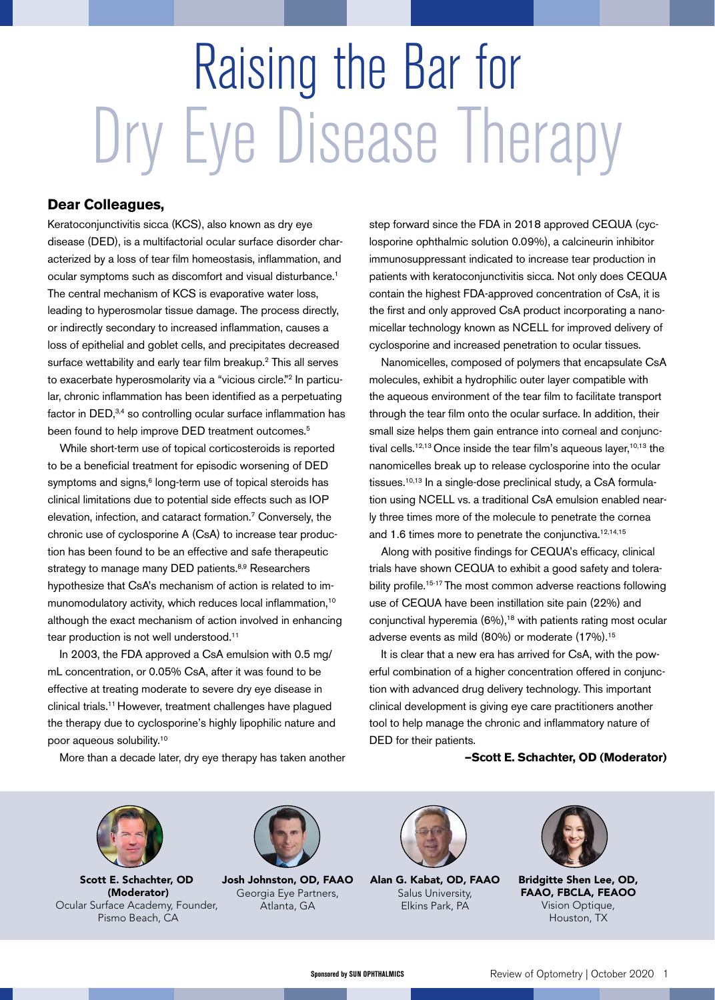# Raising the Bar for Dry Eye Disease Therapy

#### **Dear Colleagues,**

Keratoconjunctivitis sicca (KCS), also known as dry eye disease (DED), is a multifactorial ocular surface disorder characterized by a loss of tear film homeostasis, inflammation, and ocular symptoms such as discomfort and visual disturbance.<sup>1</sup> The central mechanism of KCS is evaporative water loss, leading to hyperosmolar tissue damage. The process directly, or indirectly secondary to increased inflammation, causes a loss of epithelial and goblet cells, and precipitates decreased surface wettability and early tear film breakup.2 This all serves to exacerbate hyperosmolarity via a "vicious circle."<sup>2</sup> In particular, chronic inflammation has been identified as a perpetuating factor in DED,<sup>3,4</sup> so controlling ocular surface inflammation has been found to help improve DED treatment outcomes.<sup>5</sup>

While short-term use of topical corticosteroids is reported to be a beneficial treatment for episodic worsening of DED symptoms and signs,<sup>6</sup> long-term use of topical steroids has clinical limitations due to potential side effects such as IOP elevation, infection, and cataract formation.7 Conversely, the chronic use of cyclosporine A (CsA) to increase tear production has been found to be an effective and safe therapeutic strategy to manage many DED patients.<sup>8,9</sup> Researchers hypothesize that CsA's mechanism of action is related to immunomodulatory activity, which reduces local inflammation,<sup>10</sup> although the exact mechanism of action involved in enhancing tear production is not well understood.<sup>11</sup>

In 2003, the FDA approved a CsA emulsion with 0.5 mg/ mL concentration, or 0.05% CsA, after it was found to be effective at treating moderate to severe dry eye disease in clinical trials.11 However, treatment challenges have plagued the therapy due to cyclosporine's highly lipophilic nature and poor aqueous solubility.10

step forward since the FDA in 2018 approved CEQUA (cyclosporine ophthalmic solution 0.09%), a calcineurin inhibitor immunosuppressant indicated to increase tear production in patients with keratoconjunctivitis sicca. Not only does CEQUA contain the highest FDA-approved concentration of CsA, it is the first and only approved CsA product incorporating a nanomicellar technology known as NCELL for improved delivery of cyclosporine and increased penetration to ocular tissues.

Nanomicelles, composed of polymers that encapsulate CsA molecules, exhibit a hydrophilic outer layer compatible with the aqueous environment of the tear film to facilitate transport through the tear film onto the ocular surface. In addition, their small size helps them gain entrance into corneal and conjunctival cells.<sup>12,13</sup> Once inside the tear film's aqueous layer,<sup>10,13</sup> the nanomicelles break up to release cyclosporine into the ocular tissues.<sup>10,13</sup> In a single-dose preclinical study, a CsA formulation using NCELL vs. a traditional CsA emulsion enabled nearly three times more of the molecule to penetrate the cornea and 1.6 times more to penetrate the conjunctiva.<sup>12,14,15</sup>

Along with positive findings for CEQUA's efficacy, clinical trials have shown CEQUA to exhibit a good safety and tolerability profile.<sup>15-17</sup> The most common adverse reactions following use of CEQUA have been instillation site pain (22%) and conjunctival hyperemia (6%),<sup>18</sup> with patients rating most ocular adverse events as mild (80%) or moderate (17%).<sup>15</sup>

It is clear that a new era has arrived for CsA, with the powerful combination of a higher concentration offered in conjunction with advanced drug delivery technology. This important clinical development is giving eye care practitioners another tool to help manage the chronic and inflammatory nature of DED for their patients.

**—Scott E. Schachter, OD (Moderator)**

More than a decade later, dry eye therapy has taken another



Scott E. Schachter, OD (Moderator) Ocular Surface Academy, Founder, Pismo Beach, CA



Josh Johnston, OD, FAAO Georgia Eye Partners, Atlanta, GA



Alan G. Kabat, OD, FAAO Salus University, Elkins Park, PA



Bridgitte Shen Lee, OD, FAAO, FBCLA, FEAOO Vision Optique, Houston, TX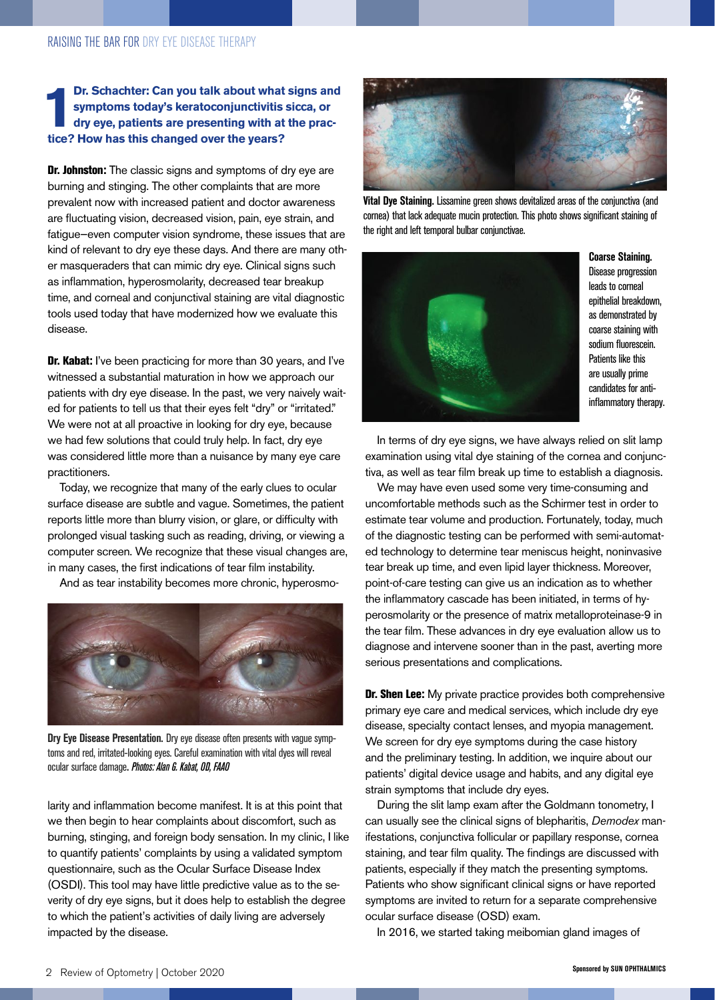#### **1 br.** Schachter: Can you talk about what symptoms today's keratoconjunctivitis dry eye, patients are presenting with at tice? How has this changed over the years? **Dr. Schachter: Can you talk about what signs and symptoms today's keratoconjunctivitis sicca, or dry eye, patients are presenting with at the prac-**

Dr. Johnston: The classic signs and symptoms of dry eye are burning and stinging. The other complaints that are more prevalent now with increased patient and doctor awareness are fluctuating vision, decreased vision, pain, eye strain, and fatigue—even computer vision syndrome, these issues that are kind of relevant to dry eye these days. And there are many other masqueraders that can mimic dry eye. Clinical signs such as inflammation, hyperosmolarity, decreased tear breakup time, and corneal and conjunctival staining are vital diagnostic tools used today that have modernized how we evaluate this disease.

Dr. Kabat: I've been practicing for more than 30 years, and I've witnessed a substantial maturation in how we approach our patients with dry eye disease. In the past, we very naively waited for patients to tell us that their eyes felt "dry" or "irritated." We were not at all proactive in looking for dry eye, because we had few solutions that could truly help. In fact, dry eye was considered little more than a nuisance by many eye care practitioners.

Today, we recognize that many of the early clues to ocular surface disease are subtle and vague. Sometimes, the patient reports little more than blurry vision, or glare, or difficulty with prolonged visual tasking such as reading, driving, or viewing a computer screen. We recognize that these visual changes are, in many cases, the first indications of tear film instability.

And as tear instability becomes more chronic, hyperosmo-



**Dry Eye Disease Presentation.** Dry eye disease often presents with vague symptoms and red, irritated-looking eyes. Careful examination with vital dyes will reveal ocular surface damage**.** *Photos: Alan G. Kabat, OD, FAAO*

larity and inflammation become manifest. It is at this point that we then begin to hear complaints about discomfort, such as burning, stinging, and foreign body sensation. In my clinic, I like to quantify patients' complaints by using a validated symptom questionnaire, such as the Ocular Surface Disease Index (OSDI). This tool may have little predictive value as to the severity of dry eye signs, but it does help to establish the degree to which the patient's activities of daily living are adversely impacted by the disease.



**Vital Dye Staining.** Lissamine green shows devitalized areas of the conjunctiva (and cornea) that lack adequate mucin protection. This photo shows significant staining of the right and left temporal bulbar conjunctivae.



**Coarse Staining.** Disease progression leads to corneal epithelial breakdown, as demonstrated by coarse staining with sodium fluorescein. Patients like this are usually prime candidates for antiinflammatory therapy.

In terms of dry eye signs, we have always relied on slit lamp examination using vital dye staining of the cornea and conjunctiva, as well as tear film break up time to establish a diagnosis.

We may have even used some very time-consuming and uncomfortable methods such as the Schirmer test in order to estimate tear volume and production. Fortunately, today, much of the diagnostic testing can be performed with semi-automated technology to determine tear meniscus height, noninvasive tear break up time, and even lipid layer thickness. Moreover, point-of-care testing can give us an indication as to whether the inflammatory cascade has been initiated, in terms of hyperosmolarity or the presence of matrix metalloproteinase-9 in the tear film. These advances in dry eye evaluation allow us to diagnose and intervene sooner than in the past, averting more serious presentations and complications.

Dr. Shen Lee: My private practice provides both comprehensive primary eye care and medical services, which include dry eye disease, specialty contact lenses, and myopia management. We screen for dry eye symptoms during the case history and the preliminary testing. In addition, we inquire about our patients' digital device usage and habits, and any digital eye strain symptoms that include dry eyes.

During the slit lamp exam after the Goldmann tonometry, I can usually see the clinical signs of blepharitis, *Demodex* manifestations, conjunctiva follicular or papillary response, cornea staining, and tear film quality. The findings are discussed with patients, especially if they match the presenting symptoms. Patients who show significant clinical signs or have reported symptoms are invited to return for a separate comprehensive ocular surface disease (OSD) exam.

In 2016, we started taking meibomian gland images of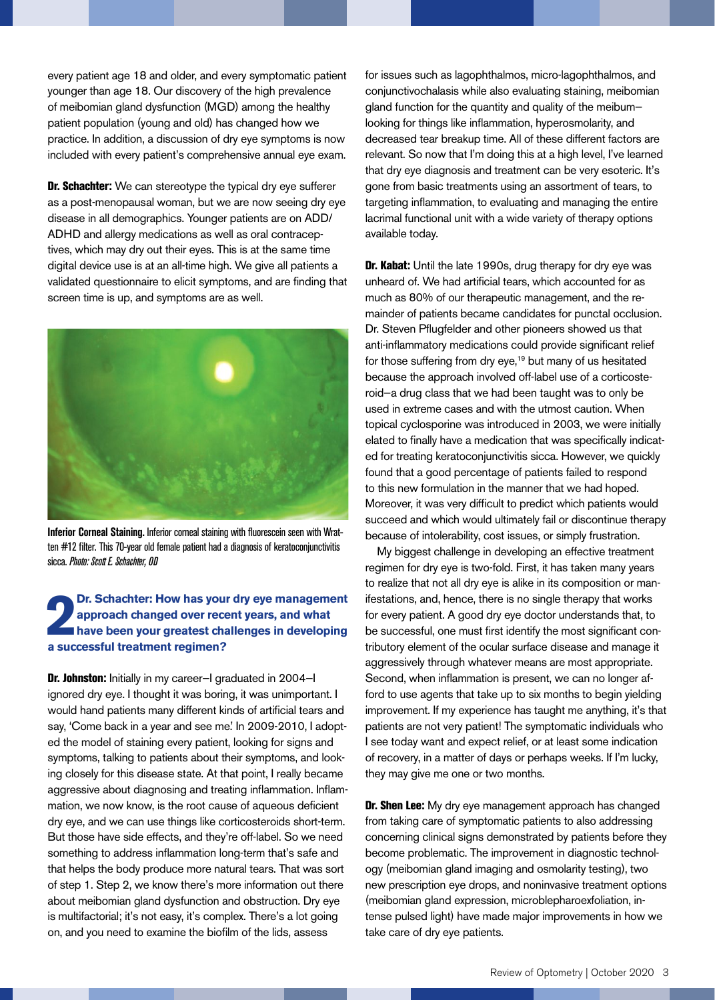every patient age 18 and older, and every symptomatic patient younger than age 18. Our discovery of the high prevalence of meibomian gland dysfunction (MGD) among the healthy patient population (young and old) has changed how we practice. In addition, a discussion of dry eye symptoms is now included with every patient's comprehensive annual eye exam.

Dr. Schachter: We can stereotype the typical dry eye sufferer as a post-menopausal woman, but we are now seeing dry eye disease in all demographics. Younger patients are on ADD/ ADHD and allergy medications as well as oral contraceptives, which may dry out their eyes. This is at the same time digital device use is at an all-time high. We give all patients a validated questionnaire to elicit symptoms, and are finding that screen time is up, and symptoms are as well.



**Inferior Corneal Staining.** Inferior corneal staining with fluorescein seen with Wratten #12 filter. This 70-year old female patient had a diagnosis of keratoconjunctivitis sicca. *Photo: Scott E. Schachter, OD*

#### **2 a** approach changed over reconductions a successful treatment regimen? **Dr. Schachter: How has your dry eye management approach changed over recent years, and what have been your greatest challenges in developing**

Dr. Johnston: Initially in my career-I graduated in 2004-I ignored dry eye. I thought it was boring, it was unimportant. I would hand patients many different kinds of artificial tears and say, 'Come back in a year and see me.' In 2009-2010, I adopted the model of staining every patient, looking for signs and symptoms, talking to patients about their symptoms, and looking closely for this disease state. At that point, I really became aggressive about diagnosing and treating inflammation. Inflammation, we now know, is the root cause of aqueous deficient dry eye, and we can use things like corticosteroids short-term. But those have side effects, and they're off-label. So we need something to address inflammation long-term that's safe and that helps the body produce more natural tears. That was sort of step 1. Step 2, we know there's more information out there about meibomian gland dysfunction and obstruction. Dry eye is multifactorial; it's not easy, it's complex. There's a lot going on, and you need to examine the biofilm of the lids, assess

for issues such as lagophthalmos, micro-lagophthalmos, and conjunctivochalasis while also evaluating staining, meibomian gland function for the quantity and quality of the meibum looking for things like inflammation, hyperosmolarity, and decreased tear breakup time. All of these different factors are relevant. So now that I'm doing this at a high level, I've learned that dry eye diagnosis and treatment can be very esoteric. It's gone from basic treatments using an assortment of tears, to targeting inflammation, to evaluating and managing the entire lacrimal functional unit with a wide variety of therapy options available today.

Dr. Kabat: Until the late 1990s, drug therapy for dry eye was unheard of. We had artificial tears, which accounted for as much as 80% of our therapeutic management, and the remainder of patients became candidates for punctal occlusion. Dr. Steven Pflugfelder and other pioneers showed us that anti-inflammatory medications could provide significant relief for those suffering from dry eye,<sup>19</sup> but many of us hesitated because the approach involved off-label use of a corticosteroid—a drug class that we had been taught was to only be used in extreme cases and with the utmost caution. When topical cyclosporine was introduced in 2003, we were initially elated to finally have a medication that was specifically indicated for treating keratoconjunctivitis sicca. However, we quickly found that a good percentage of patients failed to respond to this new formulation in the manner that we had hoped. Moreover, it was very difficult to predict which patients would succeed and which would ultimately fail or discontinue therapy because of intolerability, cost issues, or simply frustration.

My biggest challenge in developing an effective treatment regimen for dry eye is two-fold. First, it has taken many years to realize that not all dry eye is alike in its composition or manifestations, and, hence, there is no single therapy that works for every patient. A good dry eye doctor understands that, to be successful, one must first identify the most significant contributory element of the ocular surface disease and manage it aggressively through whatever means are most appropriate. Second, when inflammation is present, we can no longer afford to use agents that take up to six months to begin yielding improvement. If my experience has taught me anything, it's that patients are not very patient! The symptomatic individuals who I see today want and expect relief, or at least some indication of recovery, in a matter of days or perhaps weeks. If I'm lucky, they may give me one or two months.

Dr. Shen Lee: My dry eye management approach has changed from taking care of symptomatic patients to also addressing concerning clinical signs demonstrated by patients before they become problematic. The improvement in diagnostic technology (meibomian gland imaging and osmolarity testing), two new prescription eye drops, and noninvasive treatment options (meibomian gland expression, microblepharoexfoliation, intense pulsed light) have made major improvements in how we take care of dry eye patients.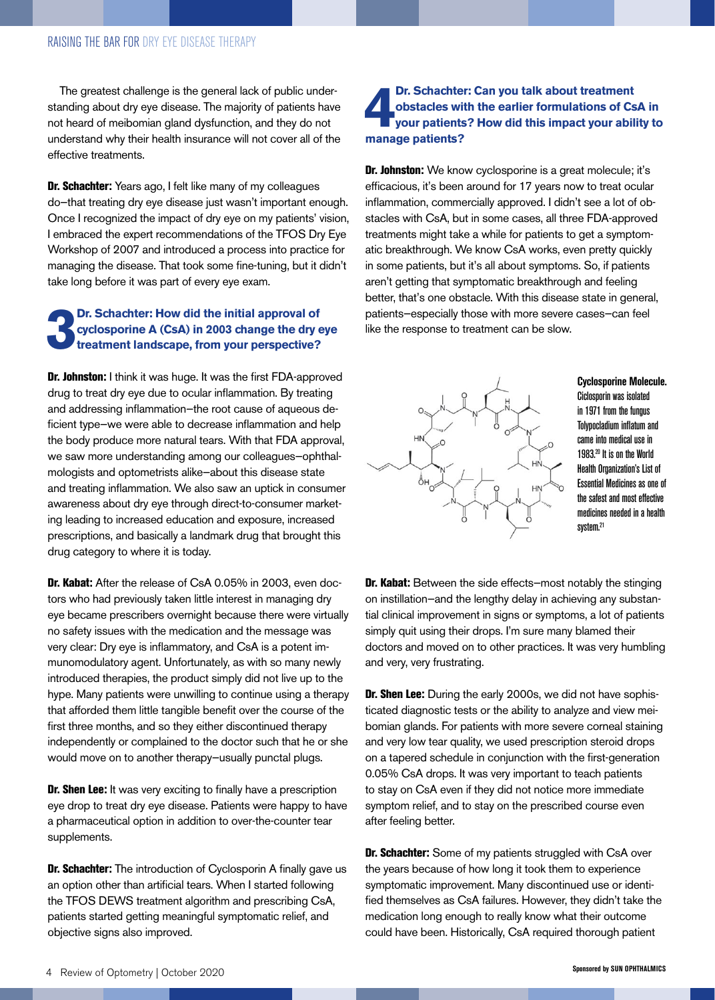The greatest challenge is the general lack of public understanding about dry eye disease. The majority of patients have not heard of meibomian gland dysfunction, and they do not understand why their health insurance will not cover all of the effective treatments.

Dr. Schachter: Years ago, I felt like many of my colleagues do—that treating dry eye disease just wasn't important enough. Once I recognized the impact of dry eye on my patients' vision, I embraced the expert recommendations of the TFOS Dry Eye Workshop of 2007 and introduced a process into practice for managing the disease. That took some fine-tuning, but it didn't take long before it was part of every eye exam.

#### **3 Dr. Schachter: How did the initial approval of cyclosporine A (CsA) in 2003 change the dry eye treatment landscape, from your perspective?**

Dr. Johnston: I think it was huge. It was the first FDA-approved drug to treat dry eye due to ocular inflammation. By treating and addressing inflammation—the root cause of aqueous deficient type—we were able to decrease inflammation and help the body produce more natural tears. With that FDA approval, we saw more understanding among our colleagues—ophthalmologists and optometrists alike—about this disease state and treating inflammation. We also saw an uptick in consumer awareness about dry eye through direct-to-consumer marketing leading to increased education and exposure, increased prescriptions, and basically a landmark drug that brought this drug category to where it is today.

Dr. Kabat: After the release of CsA 0.05% in 2003, even doctors who had previously taken little interest in managing dry eye became prescribers overnight because there were virtually no safety issues with the medication and the message was very clear: Dry eye is inflammatory, and CsA is a potent immunomodulatory agent. Unfortunately, as with so many newly introduced therapies, the product simply did not live up to the hype. Many patients were unwilling to continue using a therapy that afforded them little tangible benefit over the course of the first three months, and so they either discontinued therapy independently or complained to the doctor such that he or she would move on to another therapy—usually punctal plugs.

Dr. Shen Lee: It was very exciting to finally have a prescription eye drop to treat dry eye disease. Patients were happy to have a pharmaceutical option in addition to over-the-counter tear supplements.

**Dr. Schachter:** The introduction of Cyclosporin A finally gave us an option other than artificial tears. When I started following the TFOS DEWS treatment algorithm and prescribing CsA, patients started getting meaningful symptomatic relief, and objective signs also improved.

#### **1** Dr. Schachte<br>
obstacles wi<br>
your patients?<br>
manage patients? **Dr. Schachter: Can you talk about treatment obstacles with the earlier formulations of CsA in your patients? How did this impact your ability to**

Dr. Johnston: We know cyclosporine is a great molecule; it's efficacious, it's been around for 17 years now to treat ocular inflammation, commercially approved. I didn't see a lot of obstacles with CsA, but in some cases, all three FDA-approved treatments might take a while for patients to get a symptomatic breakthrough. We know CsA works, even pretty quickly in some patients, but it's all about symptoms. So, if patients aren't getting that symptomatic breakthrough and feeling better, that's one obstacle. With this disease state in general, patients—especially those with more severe cases—can feel like the response to treatment can be slow.



**Cyclosporine Molecule.** Ciclosporin was isolated in 1971 from the fungus Tolypocladium inflatum and came into medical use in 1983.20 It is on the World Health Organization's List of Essential Medicines as one of the safest and most effective medicines needed in a health system.<sup>21</sup>

Dr. Kabat: Between the side effects-most notably the stinging on instillation—and the lengthy delay in achieving any substantial clinical improvement in signs or symptoms, a lot of patients simply quit using their drops. I'm sure many blamed their doctors and moved on to other practices. It was very humbling and very, very frustrating.

Dr. Shen Lee: During the early 2000s, we did not have sophisticated diagnostic tests or the ability to analyze and view meibomian glands. For patients with more severe corneal staining and very low tear quality, we used prescription steroid drops on a tapered schedule in conjunction with the first-generation 0.05% CsA drops. It was very important to teach patients to stay on CsA even if they did not notice more immediate symptom relief, and to stay on the prescribed course even after feeling better.

Dr. Schachter: Some of my patients struggled with CsA over the years because of how long it took them to experience symptomatic improvement. Many discontinued use or identified themselves as CsA failures. However, they didn't take the medication long enough to really know what their outcome could have been. Historically, CsA required thorough patient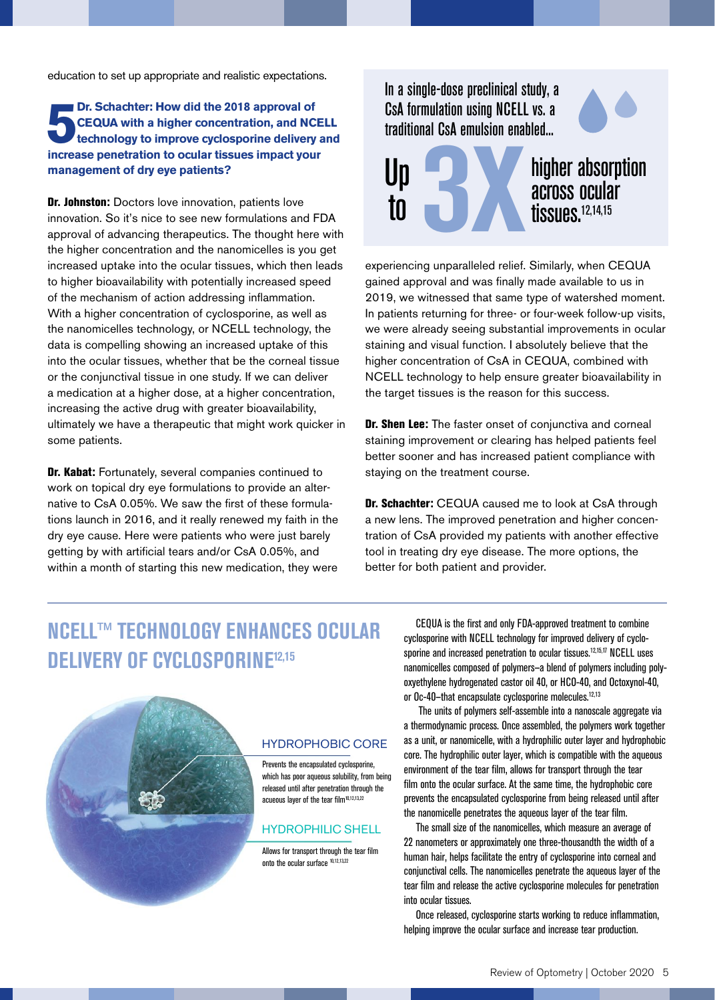education to set up appropriate and realistic expectations.

#### **br. Schachter: How did the 2018 approval of CEQUA with a higher concentration, and NCE technology to improve cyclosporine delivery increase penetration to ocular tissues impact your Dr. Schachter: How did the 2018 approval of CEQUA with a higher concentration, and NCELL technology to improve cyclosporine delivery and management of dry eye patients?**

Dr. Johnston: Doctors love innovation, patients love innovation. So it's nice to see new formulations and FDA approval of advancing therapeutics. The thought here with the higher concentration and the nanomicelles is you get increased uptake into the ocular tissues, which then leads to higher bioavailability with potentially increased speed of the mechanism of action addressing inflammation. With a higher concentration of cyclosporine, as well as the nanomicelles technology, or NCELL technology, the data is compelling showing an increased uptake of this into the ocular tissues, whether that be the corneal tissue or the conjunctival tissue in one study. If we can deliver a medication at a higher dose, at a higher concentration, increasing the active drug with greater bioavailability, ultimately we have a therapeutic that might work quicker in some patients.

Dr. Kabat: Fortunately, several companies continued to work on topical dry eye formulations to provide an alternative to CsA 0.05%. We saw the first of these formulations launch in 2016, and it really renewed my faith in the dry eye cause. Here were patients who were just barely getting by with artificial tears and/or CsA 0.05%, and within a month of starting this new medication, they were

### In a single-dose preclinical study, a CsA formulation using NCELL vs. a traditional CsA emulsion enabled...





experiencing unparalleled relief. Similarly, when CEQUA gained approval and was finally made available to us in 2019, we witnessed that same type of watershed moment. In patients returning for three- or four-week follow-up visits, we were already seeing substantial improvements in ocular staining and visual function. I absolutely believe that the higher concentration of CsA in CEQUA, combined with NCELL technology to help ensure greater bioavailability in the target tissues is the reason for this success.

Dr. Shen Lee: The faster onset of conjunctiva and corneal staining improvement or clearing has helped patients feel better sooner and has increased patient compliance with staying on the treatment course.

Dr. Schachter: CEQUA caused me to look at CsA through a new lens. The improved penetration and higher concentration of CsA provided my patients with another effective tool in treating dry eye disease. The more options, the better for both patient and provider.

## **NCELL™ TECHNOLOGY ENHANCES OCULAR DELIVERY OF CYCLOSPORINE12,15**



HYDROPHOBIC CORE

Prevents the encapsulated cyclosporine, which has poor aqueous solubility, from being released until after penetration through the acueous layer of the tear film<sup>10,12,13,22</sup>

#### HYDROPHILIC SHELL

Allows for transport through the tear film onto the ocular surface 10,12,13,22

CEQUA is the first and only FDA-approved treatment to combine cyclosporine with NCELL technology for improved delivery of cyclosporine and increased penetration to ocular tissues.<sup>12,15,17</sup> NCELL uses nanomicelles composed of polymers—a blend of polymers including polyoxyethylene hydrogenated castor oil 40, or HCO-40, and Octoxynol-40, or Oc-40-that encapsulate cyclosporine molecules.<sup>12,13</sup>

 The units of polymers self-assemble into a nanoscale aggregate via a thermodynamic process. Once assembled, the polymers work together as a unit, or nanomicelle, with a hydrophilic outer layer and hydrophobic core. The hydrophilic outer layer, which is compatible with the aqueous environment of the tear film, allows for transport through the tear film onto the ocular surface. At the same time, the hydrophobic core prevents the encapsulated cyclosporine from being released until after the nanomicelle penetrates the aqueous layer of the tear film.

The small size of the nanomicelles, which measure an average of 22 nanometers or approximately one three-thousandth the width of a human hair, helps facilitate the entry of cyclosporine into corneal and conjunctival cells. The nanomicelles penetrate the aqueous layer of the tear film and release the active cyclosporine molecules for penetration into ocular tissues.

Once released, cyclosporine starts working to reduce inflammation, helping improve the ocular surface and increase tear production.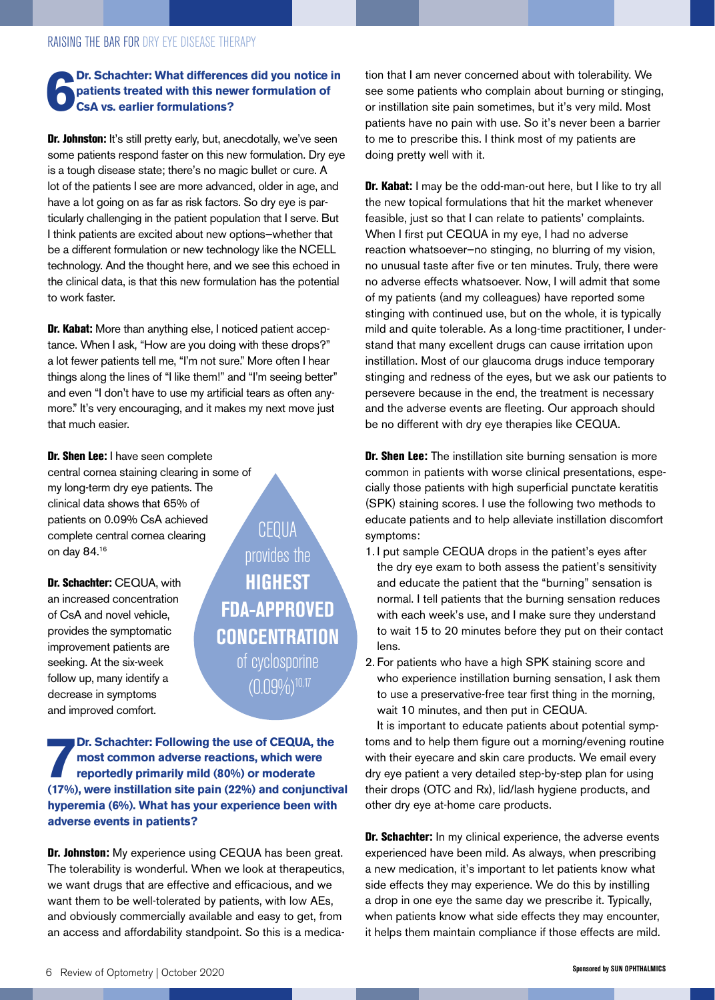#### **6 Dr. Schachter: What differences did you notice in patients treated with this newer formulation of CsA vs. earlier formulations?**

Dr. Johnston: It's still pretty early, but, anecdotally, we've seen some patients respond faster on this new formulation. Dry eye is a tough disease state; there's no magic bullet or cure. A lot of the patients I see are more advanced, older in age, and have a lot going on as far as risk factors. So dry eye is particularly challenging in the patient population that I serve. But I think patients are excited about new options—whether that be a different formulation or new technology like the NCELL technology. And the thought here, and we see this echoed in the clinical data, is that this new formulation has the potential to work faster.

Dr. Kabat: More than anything else, I noticed patient acceptance. When I ask, "How are you doing with these drops?" a lot fewer patients tell me, "I'm not sure." More often I hear things along the lines of "I like them!" and "I'm seeing better" and even "I don't have to use my artificial tears as often anymore." It's very encouraging, and it makes my next move just that much easier.

Dr. Shen Lee: I have seen complete central cornea staining clearing in some of my long-term dry eye patients. The clinical data shows that 65% of patients on 0.09% CsA achieved complete central cornea clearing on day 84.16

Dr. Schachter: CEQUA, with an increased concentration of CsA and novel vehicle, provides the symptomatic improvement patients are seeking. At the six-week follow up, many identify a decrease in symptoms and improved comfort.

CEQUA provides the **HIGHEST FDA-APPROVED CONCENTRATION** of cyclosporine  $(0.09\%)^{10,17}$ 

**Dr. Schachter: Following the use of CEQUA, the** most common adverse reactions, which were reportedly primarily mild (80%) or moderate (17%), were instillation site pain (22%) and conjunctival **Dr. Schachter: Following the use of CEQUA, the most common adverse reactions, which were reportedly primarily mild (80%) or moderate hyperemia (6%). What has your experience been with adverse events in patients?**

Dr. Johnston: My experience using CEQUA has been great. The tolerability is wonderful. When we look at therapeutics, we want drugs that are effective and efficacious, and we want them to be well-tolerated by patients, with low AEs, and obviously commercially available and easy to get, from an access and affordability standpoint. So this is a medica-

tion that I am never concerned about with tolerability. We see some patients who complain about burning or stinging, or instillation site pain sometimes, but it's very mild. Most patients have no pain with use. So it's never been a barrier to me to prescribe this. I think most of my patients are doing pretty well with it.

Dr. Kabat: I may be the odd-man-out here, but I like to try all the new topical formulations that hit the market whenever feasible, just so that I can relate to patients' complaints. When I first put CEQUA in my eye, I had no adverse reaction whatsoever—no stinging, no blurring of my vision, no unusual taste after five or ten minutes. Truly, there were no adverse effects whatsoever. Now, I will admit that some of my patients (and my colleagues) have reported some stinging with continued use, but on the whole, it is typically mild and quite tolerable. As a long-time practitioner, I understand that many excellent drugs can cause irritation upon instillation. Most of our glaucoma drugs induce temporary stinging and redness of the eyes, but we ask our patients to persevere because in the end, the treatment is necessary and the adverse events are fleeting. Our approach should be no different with dry eye therapies like CEQUA.

**Dr. Shen Lee:** The instillation site burning sensation is more common in patients with worse clinical presentations, especially those patients with high superficial punctate keratitis (SPK) staining scores. I use the following two methods to educate patients and to help alleviate instillation discomfort symptoms:

- 1. I put sample CEQUA drops in the patient's eyes after the dry eye exam to both assess the patient's sensitivity and educate the patient that the "burning" sensation is normal. I tell patients that the burning sensation reduces with each week's use, and I make sure they understand to wait 15 to 20 minutes before they put on their contact lens.
- 2. For patients who have a high SPK staining score and who experience instillation burning sensation, I ask them to use a preservative-free tear first thing in the morning, wait 10 minutes, and then put in CEQUA.

It is important to educate patients about potential symptoms and to help them figure out a morning/evening routine with their eyecare and skin care products. We email every dry eye patient a very detailed step-by-step plan for using their drops (OTC and Rx), lid/lash hygiene products, and other dry eye at-home care products.

Dr. Schachter: In my clinical experience, the adverse events experienced have been mild. As always, when prescribing a new medication, it's important to let patients know what side effects they may experience. We do this by instilling a drop in one eye the same day we prescribe it. Typically, when patients know what side effects they may encounter, it helps them maintain compliance if those effects are mild.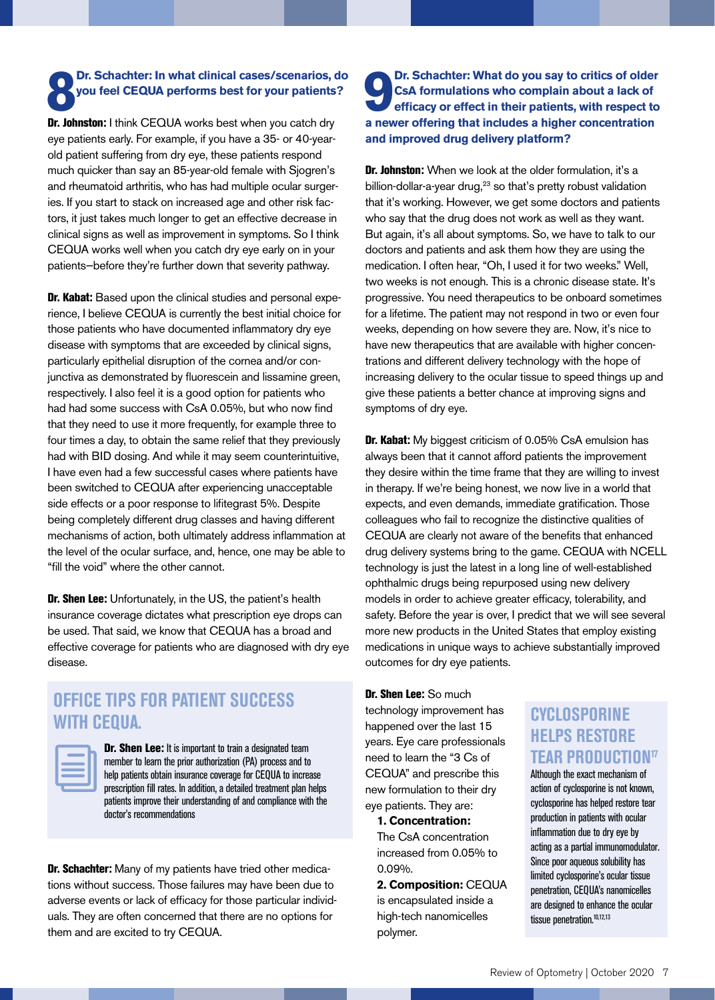## **8** Dr. Schachter: In what clinical cases/scenarios,<br>you feel CEQUA performs best for your patients<br>Dr. Johnston: I think CEQUA works best when you catch dry **Dr. Schachter: In what clinical cases/scenarios, do you feel CEQUA performs best for your patients?**

eye patients early. For example, if you have a 35- or 40-yearold patient suffering from dry eye, these patients respond much quicker than say an 85-year-old female with Sjogren's and rheumatoid arthritis, who has had multiple ocular surgeries. If you start to stack on increased age and other risk factors, it just takes much longer to get an effective decrease in clinical signs as well as improvement in symptoms. So I think CEQUA works well when you catch dry eye early on in your patients—before they're further down that severity pathway.

Dr. Kabat: Based upon the clinical studies and personal experience, I believe CEQUA is currently the best initial choice for those patients who have documented inflammatory dry eye disease with symptoms that are exceeded by clinical signs, particularly epithelial disruption of the cornea and/or conjunctiva as demonstrated by fluorescein and lissamine green, respectively. I also feel it is a good option for patients who had had some success with CsA 0.05%, but who now find that they need to use it more frequently, for example three to four times a day, to obtain the same relief that they previously had with BID dosing. And while it may seem counterintuitive, I have even had a few successful cases where patients have been switched to CEQUA after experiencing unacceptable side effects or a poor response to lifitegrast 5%. Despite being completely different drug classes and having different mechanisms of action, both ultimately address inflammation at the level of the ocular surface, and, hence, one may be able to "fill the void" where the other cannot.

Dr. Shen Lee: Unfortunately, in the US, the patient's health insurance coverage dictates what prescription eye drops can be used. That said, we know that CEQUA has a broad and effective coverage for patients who are diagnosed with dry eye disease.

## **OFFICE TIPS FOR PATIENT SUCCESS WITH CEQUA.**

Dr. Shen Lee: It is important to train a designated team member to learn the prior authorization (PA) process and to help patients obtain insurance coverage for CEQUA to increase prescription fill rates. In addition, a detailed treatment plan helps patients improve their understanding of and compliance with the doctor's recommendations

Dr. Schachter: Many of my patients have tried other medications without success. Those failures may have been due to adverse events or lack of efficacy for those particular individuals. They are often concerned that there are no options for them and are excited to try CEQUA.

#### **9 a b c csA** formulations who complain about a lack of efficacy or effect in their patients, with respect to a newer offering that includes a higher concentration **Dr. Schachter: What do you say to critics of older CsA formulations who complain about a lack of efficacy or effect in their patients, with respect to and improved drug delivery platform?**

**Dr. Johnston:** When we look at the older formulation, it's a billion-dollar-a-year drug,<sup>23</sup> so that's pretty robust validation that it's working. However, we get some doctors and patients who say that the drug does not work as well as they want. But again, it's all about symptoms. So, we have to talk to our doctors and patients and ask them how they are using the medication. I often hear, "Oh, I used it for two weeks." Well, two weeks is not enough. This is a chronic disease state. It's progressive. You need therapeutics to be onboard sometimes for a lifetime. The patient may not respond in two or even four weeks, depending on how severe they are. Now, it's nice to have new therapeutics that are available with higher concentrations and different delivery technology with the hope of increasing delivery to the ocular tissue to speed things up and give these patients a better chance at improving signs and symptoms of dry eye.

Dr. Kabat: My biggest criticism of 0.05% CsA emulsion has always been that it cannot afford patients the improvement they desire within the time frame that they are willing to invest in therapy. If we're being honest, we now live in a world that expects, and even demands, immediate gratification. Those colleagues who fail to recognize the distinctive qualities of CEQUA are clearly not aware of the benefits that enhanced drug delivery systems bring to the game. CEQUA with NCELL technology is just the latest in a long line of well-established ophthalmic drugs being repurposed using new delivery models in order to achieve greater efficacy, tolerability, and safety. Before the year is over, I predict that we will see several more new products in the United States that employ existing medications in unique ways to achieve substantially improved outcomes for dry eye patients.

Dr. Shen Lee: So much technology improvement has happened over the last 15 years. Eye care professionals need to learn the "3 Cs of CEQUA" and prescribe this new formulation to their dry eye patients. They are:

**1. Concentration:**

The CsA concentration increased from 0.05% to 0.09%.

**2. Composition:** CEQUA is encapsulated inside a high-tech nanomicelles polymer.

## **CYCLOSPORINE HELPS RESTORE TEAR PRODUCTION17**

Although the exact mechanism of action of cyclosporine is not known, cyclosporine has helped restore tear production in patients with ocular inflammation due to dry eye by acting as a partial immunomodulator. Since poor aqueous solubility has limited cyclosporine's ocular tissue penetration, CEQUA's nanomicelles are designed to enhance the ocular tissue penetration.<sup>10,12,13</sup>